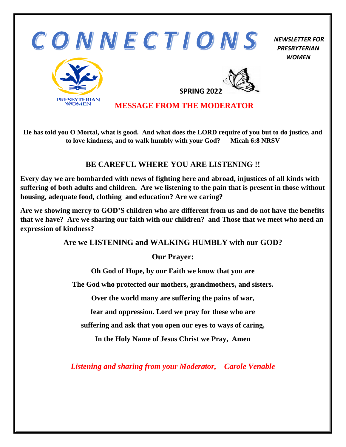

**He has told you O Mortal, what is good. And what does the LORD require of you but to do justice, and to love kindness, and to walk humbly with your God? Micah 6:8 NRSV**

#### **BE CAREFUL WHERE YOU ARE LISTENING !!**

**Every day we are bombarded with news of fighting here and abroad, injustices of all kinds with suffering of both adults and children. Are we listening to the pain that is present in those without housing, adequate food, clothing and education? Are we caring?** 

**Are we showing mercy to GOD'S children who are different from us and do not have the benefits that we have? Are we sharing our faith with our children? and Those that we meet who need an expression of kindness?** 

**Are we LISTENING and WALKING HUMBLY with our GOD?**

**Our Prayer:**

**Oh God of Hope, by our Faith we know that you are** 

**The God who protected our mothers, grandmothers, and sisters.** 

**Over the world many are suffering the pains of war,** 

**fear and oppression. Lord we pray for these who are** 

**suffering and ask that you open our eyes to ways of caring,** 

**In the Holy Name of Jesus Christ we Pray, Amen** 

*Listening and sharing from your Moderator, Carole Venable*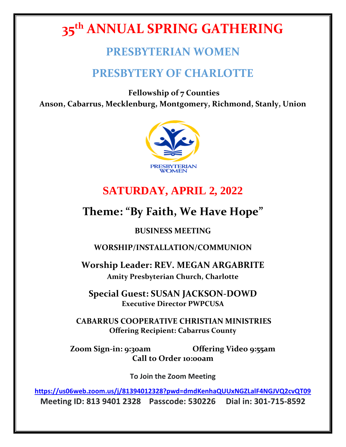# **35th ANNUAL SPRING GATHERING**

## **PRESBYTERIAN WOMEN**

## **PRESBYTERY OF CHARLOTTE**

**Fellowship of 7 Counties Anson, Cabarrus, Mecklenburg, Montgomery, Richmond, Stanly, Union**



## **SATURDAY, APRIL 2, 2022**

## **Theme: "By Faith, We Have Hope"**

### **BUSINESS MEETING**

**WORSHIP/INSTALLATION/COMMUNION**

**Worship Leader: REV. MEGAN ARGABRITE Amity Presbyterian Church, Charlotte**

**Special Guest: SUSAN JACKSON-DOWD Executive Director PWPCUSA** 

**CABARRUS COOPERATIVE CHRISTIAN MINISTRIES Offering Recipient: Cabarrus County**

**Zoom Sign-in: 9:30am Offering Video 9:55am Call to Order 10:00am**

**To Join the Zoom Meeting**

**<https://us06web.zoom.us/j/81394012328?pwd=dmdKenhaQUUxNGZLalF4NGJVQ2cvQT09> Meeting ID: 813 9401 2328 Passcode: 530226 Dial in: 301-715-8592**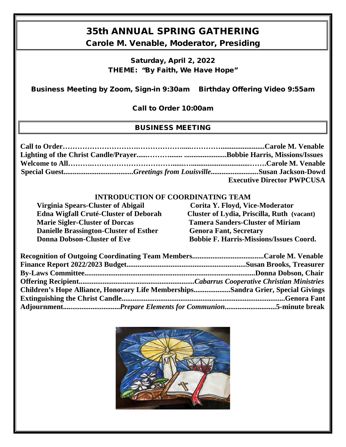## 35th ANNUAL SPRING GATHERING

Carole M. Venable, Moderator, Presiding

Saturday, April 2, 2022 THEME: "By Faith, We Have Hope"

Business Meeting by Zoom, Sign-in 9:30am Birthday Offering Video 9:55am

Call to Order 10:00am

#### BUSINESS MEETING

|  | <b>Executive Director PWPCUSA</b> |
|--|-----------------------------------|

#### **INTRODUCTION OF COORDINATING TEAM**

| <b>Virginia Spears-Cluster of Abigail</b>     | Corita Y. Floyd, Vice-Moderator                |
|-----------------------------------------------|------------------------------------------------|
| <b>Edna Wigfall Cruté-Cluster of Deborah</b>  | Cluster of Lydia, Priscilla, Ruth (vacant)     |
| <b>Marie Sigler-Cluster of Dorcas</b>         | <b>Tamera Sanders-Cluster of Miriam</b>        |
| <b>Danielle Brassington-Cluster of Esther</b> | <b>Genora Fant, Secretary</b>                  |
| <b>Donna Dobson-Cluster of Eve</b>            | <b>Bobbie F. Harris-Missions/Issues Coord.</b> |

| Children's Hope Alliance, Honorary Life MembershipsSandra Grier, Special Givings |  |
|----------------------------------------------------------------------------------|--|
|                                                                                  |  |
|                                                                                  |  |

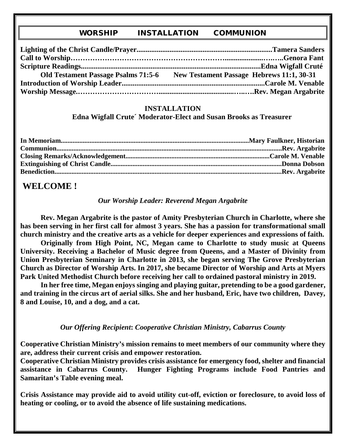#### WORSHIP INSTALLATION COMMUNION

| <b>Old Testament Passage Psalms 71:5-6</b> | New Testament Passage Hebrews 11:1, 30-31 |
|--------------------------------------------|-------------------------------------------|
|                                            |                                           |
|                                            |                                           |

#### **INSTALLATION**

 **Edna Wigfall Crute´ Moderator-Elect and Susan Brooks as Treasurer** 

### **WELCOME !**

#### *Our Worship Leader: Reverend Megan Argabrite*

**Rev. Megan Argabrite is the pastor of Amity Presbyterian Church in Charlotte, where she has been serving in her first call for almost 3 years. She has a passion for transformational small church ministry and the creative arts as a vehicle for deeper experiences and expressions of faith.** 

**Originally from High Point, NC, Megan came to Charlotte to study music at Queens University. Receiving a Bachelor of Music degree from Queens, and a Master of Divinity from Union Presbyterian Seminary in Charlotte in 2013, she began serving The Grove Presbyterian Church as Director of Worship Arts. In 2017, she became Director of Worship and Arts at Myers Park United Methodist Church before receiving her call to ordained pastoral ministry in 2019.** 

**In her free time, Megan enjoys singing and playing guitar, pretending to be a good gardener, and training in the circus art of aerial silks. She and her husband, Eric, have two children, Davey, 8 and Louise, 10, and a dog, and a cat.** 

#### *Our Offering Recipient***:** *Cooperative Christian Ministry, Cabarrus County*

**Cooperative Christian Ministry's mission remains to meet members of our community where they are, address their current crisis and empower restoration.** 

**Cooperative Christian Ministry provides crisis assistance for emergency food, shelter and financial assistance in Cabarrus County. Hunger Fighting Programs include Food Pantries and Samaritan's Table evening meal.** 

**Crisis Assistance may provide aid to avoid utility cut-off, eviction or foreclosure, to avoid loss of heating or cooling, or to avoid the absence of life sustaining medications.**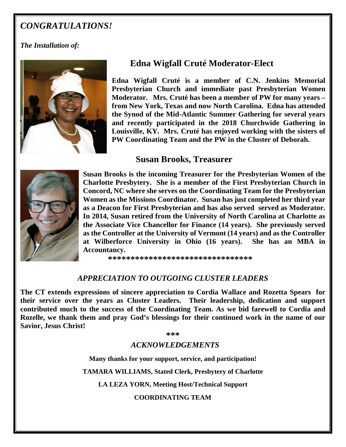### *CONGRATULATIONS!*

#### *The Installation of:*



### **Edna Wigfall Cruté Moderator-Elect**

**Edna Wigfall Cruté is a member of C.N. Jenkins Memorial Presbyterian Church and immediate past Presbyterian Women Moderator. Mrs. Cruté has been a member of PW for many years – from New York, Texas and now North Carolina. Edna has attended the Synod of the Mid-Atlantic Summer Gathering for several years and recently participated in the 2018 Churchwide Gathering in Louisville, KY. Mrs. Cruté has enjoyed working with the sisters of PW Coordinating Team and the PW in the Cluster of Deborah.**

#### **Susan Brooks, Treasurer**



**Susan Brooks is the incoming Treasurer for the Presbyterian Women of the Charlotte Presbytery. She is a member of the First Presbyterian Church in Concord, NC where she serves on the Coordinating Team for the Presbyterian Women as the Missions Coordinator. Susan has just completed her third year as a Deacon for First Presbyterian and has also served served as Moderator. In 2014, Susan retired from the University of North Carolina at Charlotte as the Associate Vice Chancellor for Finance (14 years). She previously served as the Controller at the University of Vermont (14 years) and as the Controller at Wilberforce University in Ohio (16 years). She has an MBA in Accountancy.** 

 **\*\*\*\*\*\*\*\*\*\*\*\*\*\*\*\*\*\*\*\*\*\*\*\*\*\*\*\*\*\*\*\*** 

#### *APPRECIATION TO OUTGOING CLUSTER LEADERS*

**The CT extends expressions of sincere appreciation to Cordia Wallace and Rozetta Spears for their service over the years as Cluster Leaders. Their leadership, dedication and support contributed much to the success of the Coordinating Team. As we bid farewell to Cordia and Rozelle, we thank them and pray God's blessings for their continued work in the name of our Savior, Jesus Christ!** 

**\*\*\***

#### *ACKNOWLEDGEMENTS*

**Many thanks for your support, service, and participation!** 

**TAMARA WILLIAMS, Stated Clerk, Presbytery of Charlotte** 

**LA LEZA YORN, Meeting Host/Technical Support**

**COORDINATING TEAM**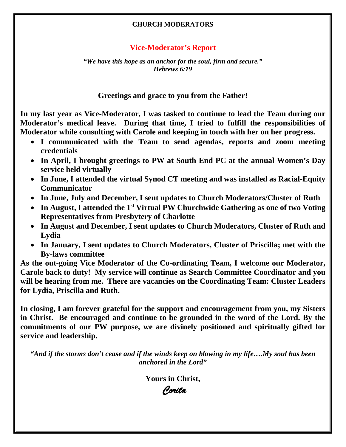#### **CHURCH MODERATORS**

#### **Vice-Moderator's Report**

*"We have this hope as an anchor for the soul, firm and secure." Hebrews 6:19* 

**Greetings and grace to you from the Father!**

**In my last year as Vice-Moderator, I was tasked to continue to lead the Team during our Moderator's medical leave. During that time, I tried to fulfill the responsibilities of Moderator while consulting with Carole and keeping in touch with her on her progress.**

- **I communicated with the Team to send agendas, reports and zoom meeting credentials**
- **In April, I brought greetings to PW at South End PC at the annual Women's Day service held virtually**
- **In June, I attended the virtual Synod CT meeting and was installed as Racial-Equity Communicator**
- **In June, July and December, I sent updates to Church Moderators/Cluster of Ruth**
- In August, I attended the 1<sup>st</sup> Virtual PW Churchwide Gathering as one of two Voting **Representatives from Presbytery of Charlotte**
- **In August and December, I sent updates to Church Moderators, Cluster of Ruth and Lydia**
- **In January, I sent updates to Church Moderators, Cluster of Priscilla; met with the By-laws committee**

**As the out-going Vice Moderator of the Co-ordinating Team, I welcome our Moderator, Carole back to duty! My service will continue as Search Committee Coordinator and you will be hearing from me. There are vacancies on the Coordinating Team: Cluster Leaders for Lydia, Priscilla and Ruth.**

**In closing, I am forever grateful for the support and encouragement from you, my Sisters in Christ. Be encouraged and continue to be grounded in the word of the Lord. By the commitments of our PW purpose, we are divinely positioned and spiritually gifted for service and leadership.** 

*"And if the storms don't cease and if the winds keep on blowing in my life….My soul has been anchored in the Lord"*

**Yours in Christ,**

*Corita*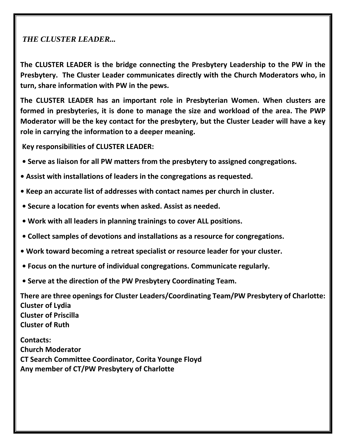#### *THE CLUSTER LEADER...*

**The CLUSTER LEADER is the bridge connecting the Presbytery Leadership to the PW in the Presbytery. The Cluster Leader communicates directly with the Church Moderators who, in turn, share information with PW in the pews.** 

**The CLUSTER LEADER has an important role in Presbyterian Women. When clusters are formed in presbyteries, it is done to manage the size and workload of the area. The PWP Moderator will be the key contact for the presbytery, but the Cluster Leader will have a key role in carrying the information to a deeper meaning.**

**Key responsibilities of CLUSTER LEADER:** 

- **Serve as liaison for all PW matters from the presbytery to assigned congregations.**
- **Assist with installations of leaders in the congregations as requested.**
- **Keep an accurate list of addresses with contact names per church in cluster.**
- **Secure a location for events when asked. Assist as needed.**
- **Work with all leaders in planning trainings to cover ALL positions.**
- **Collect samples of devotions and installations as a resource for congregations.**
- **Work toward becoming a retreat specialist or resource leader for your cluster.**
- **Focus on the nurture of individual congregations. Communicate regularly.**
- **Serve at the direction of the PW Presbytery Coordinating Team.**

**There are three openings for Cluster Leaders/Coordinating Team/PW Presbytery of Charlotte: Cluster of Lydia Cluster of Priscilla Cluster of Ruth** 

**Contacts: Church Moderator CT Search Committee Coordinator, Corita Younge Floyd Any member of CT/PW Presbytery of Charlotte**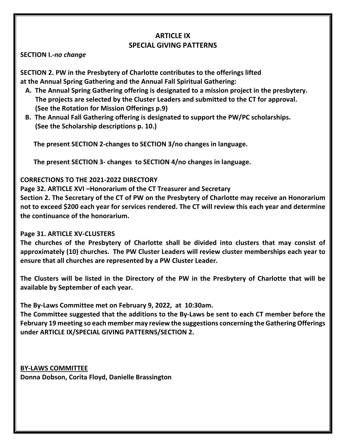#### **ARTICLE IX SPECIAL GIVING PATTERNS**

#### **SECTION I.-***no change*

**SECTION 2. PW in the Presbytery of Charlotte contributes to the offerings lifted at the Annual Spring Gathering and the Annual Fall Spiritual Gathering:**

- **A. The Annual Spring Gathering offering is designated to a mission project in the presbytery. The projects are selected by the Cluster Leaders and submitted to the CT for approval. (See the Rotation for Mission Offerings p.9)**
- **B. The Annual Fall Gathering offering is designated to support the PW/PC scholarships. (See the Scholarship descriptions p. 10.)**

 **The present SECTION 2-changes to SECTION 3/no changes in language.**

 **The present SECTION 3- changes to SECTION 4/no changes in language.**

#### **CORRECTIONS TO THE 2021-2022 DIRECTORY**

**Page 32. ARTICLE XVI –Honorarium of the CT Treasurer and Secretary**

**Section 2. The Secretary of the CT of PW on the Presbytery of Charlotte may receive an Honorarium not to exceed \$200 each year for services rendered. The CT will review this each year and determine the continuance of the honorarium.**

#### **Page 31. ARTICLE XV-CLUSTERS**

**The churches of the Presbytery of Charlotte shall be divided into clusters that may consist of approximately (10) churches. The PW Cluster Leaders will re***v***iew cluster memberships each year to ensure that all churches are represented by a PW Cluster Leader.**

**The Clusters will be listed in the Directory of the PW in the Presbytery of Charlotte that will be available by September of each year.**

**The By-Laws Committee met on February 9, 2022, at 10:30am.**

**The Committee suggested that the additions to the By-Laws be sent to each CT member before the February 19 meeting so each member may review the suggestions concerning the Gathering Offerings under ARTICLE IX/SPECIAL GIVING PATTERNS/SECTION 2.**

**BY-LAWS COMMITTEE Donna Dobson, Corita Floyd, Danielle Brassington**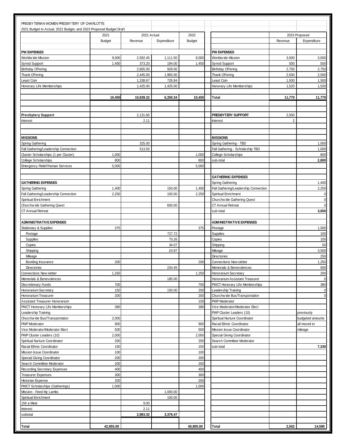| PRESBYTERIAN WOMEN PRESBYTERY OF CHARLOTTE                         |                       |                        |             |                       |                                         |                |                              |
|--------------------------------------------------------------------|-----------------------|------------------------|-------------|-----------------------|-----------------------------------------|----------------|------------------------------|
| 2021 Budget to Actual, 2022 Budget, and 2023 Proposed Budget Draft |                       |                        |             |                       |                                         |                |                              |
|                                                                    | 2021<br><b>Budget</b> | 2021 Actual<br>Revenue | Expenditure | 2022<br><b>Budget</b> |                                         | Revenue        | 2023 Proposed<br>Expenditure |
|                                                                    |                       |                        |             |                       |                                         |                |                              |
| <b>PW EXPENSES</b>                                                 |                       |                        |             |                       | <b>PW EXPENSES</b>                      |                |                              |
| Worldw ide Mission                                                 | 9,000                 | 2,592.45               | 1.111.50    | 9,000                 | Worldw ide Mission                      | 3,000          | 3,000                        |
| Synod Support                                                      | 1,450                 | 373.20                 | 194.00      | 1,450                 | Synod Support                           | 500            | 500                          |
| <b>Birthday Offering</b>                                           |                       | 2,665.00               | 928.00      |                       | <b>Birthday Offering</b>                | 2,750          | 2,750                        |
| Thank Offering                                                     |                       | 2,445.00               | 1,965.00    |                       | Thank Offering                          | 2,500          | 2,500                        |
| Least Coin                                                         |                       | 1,338.67               | 726.84      |                       | Least Coin                              | 1,500          | 1,500                        |
| Honorary Life Memberships                                          |                       | 1,425.00               | 1,425.00    |                       | Honorary Life Memberships               | 1,520          | 1,520                        |
|                                                                    | 10,450                | 10,839.32              | 6,350.34    | 10,450                | Total                                   | 11,770         | 11,770                       |
|                                                                    |                       |                        |             |                       |                                         |                |                              |
| <b>Presbytery Support</b>                                          |                       | 2,131.60               |             |                       | PRESBYTERY SUPPORT                      | 2,500          |                              |
| Interest                                                           |                       | 2.11                   |             |                       | Interest                                | $\overline{2}$ |                              |
|                                                                    |                       |                        |             |                       |                                         |                |                              |
|                                                                    |                       |                        |             |                       |                                         |                |                              |
| <b>MISSIONS</b>                                                    |                       |                        |             |                       | <b>MISSIONS</b>                         |                |                              |
| Spring Gathering                                                   |                       | 325.00                 |             |                       | Spring Gathering - TBD                  |                | 1,000                        |
| Fall Gathering/Leadership Connection                               |                       | 513.50                 |             |                       | Fall Gathering - Scholarship TBD        |                | 1,000                        |
| Cluster Scholarships (1 per Cluster)                               | 1,000                 |                        |             | 1,000                 | College Scholarships                    |                | 800                          |
| College Scholarships                                               | 800                   |                        |             | 800                   | sub-total                               |                | 2,800                        |
| Emergency Relief/Human Services                                    | 5,000                 |                        |             | 5,000                 |                                         |                |                              |
|                                                                    |                       |                        |             |                       |                                         |                |                              |
|                                                                    |                       |                        |             |                       | <b>GATHERING EXPENSES</b>               |                |                              |
| <b>GATHERING EXPENSES</b>                                          |                       |                        |             |                       | Spring Gathering                        |                | 1,400                        |
| Spring Gathering                                                   | 1,400                 |                        | 150.00      | 1,400                 | Fall Gathering/Leadership Connection    |                | 2,250                        |
| Fall Gathering/Leadership Connection                               | 2,250                 |                        | 100.00      | 2,250                 | Spiritual Enrichment                    |                | $\mathbf 0$                  |
| Spiritual Enrichment                                               |                       |                        |             |                       | Churchw ide Gathering Quest             |                | $\mathbf 0$                  |
| Churchw ide Gathering Quest                                        |                       |                        | 600.00      |                       | CT Annual Retreat                       |                | $\mathbf 0$                  |
| <b>CT Annual Retreat</b>                                           |                       |                        |             |                       | sub-total                               |                | 3,650                        |
| <b>ADMINISTRATIVE EXPENSES</b>                                     |                       |                        |             |                       | <b>ADMINISTRATIVE EXPENSES</b>          |                |                              |
| Stationary & Supplies                                              | 375                   |                        |             | 375                   | Postage                                 |                | 1,000                        |
| Postage                                                            |                       |                        | 727.72      |                       | Supplies                                |                | 100                          |
| Supplies                                                           |                       |                        | 70.26       |                       | Copies                                  |                | 100                          |
| Copies                                                             |                       |                        | 34.07       |                       | Shipping                                |                | 50                           |
| Shipping                                                           |                       |                        | 24.97       |                       | Mileage                                 |                | 3,500                        |
| Mileage                                                            |                       |                        |             |                       | Directories                             |                | 250                          |
| Bonding Insurance                                                  | 200                   |                        |             | 200                   | <b>Connections New sletter</b>          |                | 1,250                        |
| <b>Directories</b>                                                 |                       |                        | 234.45      |                       | Memorials & Benevolences                |                | 500                          |
| Connections New sletter                                            | 1,250                 |                        |             | 1,250                 | Honorarium Secretary                    |                | 200                          |
| Memorials & Benevolences                                           |                       |                        | 185.00      |                       | Honorarium Assistant Treasurer          |                | $\mathbf 0$                  |
| <b>Discretionary Funds</b>                                         | 700                   |                        |             | 700                   | PWCT Honorary Life Memberships          |                | 380                          |
| Honorarium Secretary                                               | 150                   |                        | 150.00      | 200                   | Leadership Training                     |                | $\mathbf{0}$                 |
| Honorarium Treasurer                                               | 200                   |                        |             | 200                   | Churchw ide Bus/Transportation          |                | $\mathbf{0}$                 |
| Assistant Treasurer Honorarium                                     |                       |                        |             | 100                   | <b>PWP</b> Moderator                    |                |                              |
| <b>PWCT Honorary Life Memberships</b>                              | 380                   |                        |             | 380                   | Vice Moderator/Moderator Elect          |                |                              |
| Leadership Training                                                |                       |                        |             |                       | PWP Cluster Leaders (10)                |                | previously                   |
| Churchw ide Bus/Transportation                                     | 2,000                 |                        |             |                       | Spiritual Nurture Coordinator           |                | budgeted amounts             |
| <b>PWP</b> Moderator                                               | 900                   |                        |             | 900                   | Racial Ethnic Coordinator               |                | all moved to                 |
| Vice Moderator/Moderator Elect                                     | 500                   |                        |             | 500                   | Mission Issue Coordinator               |                | mileage                      |
| PWP Cluster Leaders (10)                                           | 2,000                 |                        |             | 2,000                 | Special Giving Coordinator              |                |                              |
| Spiritual Nurture Coordinator<br>Racial Ethnic Coordinator         | 200<br>150            |                        |             | 200<br>150            | Search Committee Moderator<br>sub-total |                | 7,330                        |
| Mission Issue Coordinator                                          | 100                   |                        |             | 100                   |                                         |                |                              |
| Special Giving Coordinator                                         | 200                   |                        |             | 200                   |                                         |                |                              |
| Search Committee Moderator                                         | 200                   |                        |             | 200                   |                                         |                |                              |
| Recording Secretary Expenses                                       | 400                   |                        |             | 400                   |                                         |                |                              |
| <b>Treasurer Expenses</b>                                          | 300                   |                        |             | 300                   |                                         |                |                              |
| Historian Expense                                                  | 200                   |                        |             | 200                   |                                         |                |                              |
| <b>PWCT Scholarships (Gatherings)</b>                              | 1,000                 |                        |             | 1,000                 |                                         |                |                              |
| Mission - Feed My Lambs                                            |                       |                        | 1,000.00    |                       |                                         |                |                              |
| Spiritual Enrichment                                               |                       |                        | 100.00      |                       |                                         |                |                              |
| 15¢ a Meal                                                         |                       | 9.00                   |             |                       |                                         |                |                              |
| Interest                                                           |                       | 2.11                   |             |                       |                                         |                |                              |
| subtotal                                                           |                       | 2,983.32               | 3,376.47    |                       |                                         |                |                              |
|                                                                    |                       |                        |             |                       |                                         |                |                              |
| Total                                                              | 42,955.00             |                        |             | 40,905.00             | Total                                   | 2,502          | 14,590                       |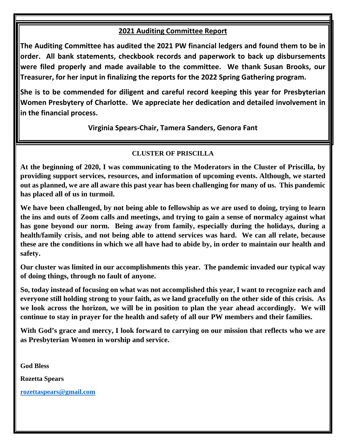#### **2021 Auditing Committee Report**

**The Auditing Committee has audited the 2021 PW financial ledgers and found them to be in order. All bank statements, checkbook records and paperwork to back up disbursements were filed properly and made available to the committee. We thank Susan Brooks, our Treasurer, for her input in finalizing the reports for the 2022 Spring Gathering program.** 

**She is to be commended for diligent and careful record keeping this year for Presbyterian Women Presbytery of Charlotte. We appreciate her dedication and detailed involvement in in the financial process.** 

**Virginia Spears-Chair, Tamera Sanders, Genora Fant**

#### **CLUSTER OF PRISCILLA**

**At the beginning of 2020, I was communicating to the Moderators in the Cluster of Priscilla, by providing support services, resources, and information of upcoming events. Although, we started out as planned, we are all aware this past year has been challenging for many of us. This pandemic has placed all of us in turmoil.** 

**We have been challenged, by not being able to fellowship as we are used to doing, trying to learn the ins and outs of Zoom calls and meetings, and trying to gain a sense of normalcy against what has gone beyond our norm. Being away from family, especially during the holidays, during a health/family crisis, and not being able to attend services was hard. We can all relate, because these are the conditions in which we all have had to abide by, in order to maintain our health and safety.** 

**Our cluster was limited in our accomplishments this year. The pandemic invaded our typical way of doing things, through no fault of anyone.** 

**So, today instead of focusing on what was not accomplished this year, I want to recognize each and everyone still holding strong to your faith, as we land gracefully on the other side of this crisis. As we look across the horizon, we will be in position to plan the year ahead accordingly. We will continue to stay in prayer for the health and safety of all our PW members and their families.** 

**With God's grace and mercy, I look forward to carrying on our mission that reflects who we are as Presbyterian Women in worship and service.** 

**God Bless**

**Rozetta Spears**

**[rozettaspears@gmail.com](mailto:rozettaspears@gmail.com)**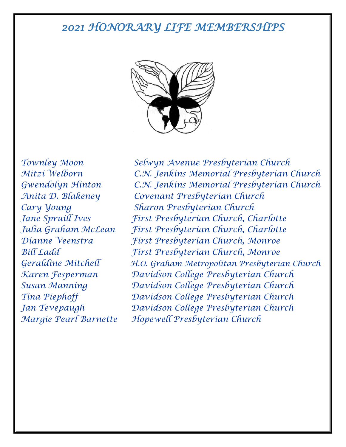## *2021 HONORARY LIFE MEMBERSHIPS*



*Townley Moon Selwyn Avenue Presbyterian Church Mitzi Welborn C.N. Jenkins Memorial Presbyterian Church Gwendolyn Hinton C.N. Jenkins Memorial Presbyterian Church Anita D. Blakeney Covenant Presbyterian Church Cary Young Sharon Presbyterian Church Jane Spruill Ives First Presbyterian Church, Charlotte Julia Graham McLean First Presbyterian Church, Charlotte Dianne Veenstra First Presbyterian Church, Monroe Bill Ladd First Presbyterian Church, Monroe Geraldine Mitchell H.O. Graham Metropolitan Presbyterian Church Karen Fesperman Davidson College Presbyterian Church Susan Manning Davidson College Presbyterian Church Tina Piephoff Davidson College Presbyterian Church Jan Tevepaugh Davidson College Presbyterian Church Margie Pearl Barnette Hopewell Presbyterian Church*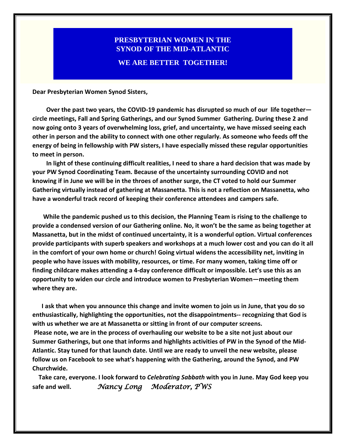### **PRESBYTERIAN WOMEN IN THE SYNOD OF THE MID-ATLANTIC WE ARE BETTER TOGETHER!**

**Dear Presbyterian Women Synod Sisters,**

 **Over the past two years, the COVID-19 pandemic has disrupted so much of our life together circle meetings, Fall and Spring Gatherings, and our Synod Summer Gathering. During these 2 and now going onto 3 years of overwhelming loss, grief, and uncertainty, we have missed seeing each other in person and the ability to connect with one other regularly. As someone who feeds off the energy of being in fellowship with PW sisters, I have especially missed these regular opportunities to meet in person.**

 **In light of these continuing difficult realities, I need to share a hard decision that was made by your PW Synod Coordinating Team. Because of the uncertainty surrounding COVID and not knowing if in June we will be in the throes of another surge, the CT voted to hold our Summer Gathering virtually instead of gathering at Massanetta. This is not a reflection on Massanetta, who have a wonderful track record of keeping their conference attendees and campers safe.** 

 **While the pandemic pushed us to this decision, the Planning Team is rising to the challenge to provide a condensed version of our Gathering online. No, it won't be the same as being together at Massanetta, but in the midst of continued uncertainty, it is a wonderful option. Virtual conferences provide participants with superb speakers and workshops at a much lower cost and you can do it all in the comfort of your own home or church! Going virtual widens the accessibility net, inviting in people who have issues with mobility, resources, or time. For many women, taking time off or finding childcare makes attending a 4-day conference difficult or impossible. Let's use this as an opportunity to widen our circle and introduce women to Presbyterian Women—meeting them where they are.** 

 **I ask that when you announce this change and invite women to join us in June, that you do so enthusiastically, highlighting the opportunities, not the disappointments-- recognizing that God is with us whether we are at Massanetta or sitting in front of our computer screens. Please note, we are in the process of overhauling our website to be a site not just about our Summer Gatherings, but one that informs and highlights activities of PW in the Synod of the Mid-Atlantic. Stay tuned for that launch date. Until we are ready to unveil the new website, please follow us on Facebook to see what's happening with the Gathering, around the Synod, and PW Churchwide.**

 **Take care, everyone. I look forward to** *Celebrating Sabbath* **with you in June. May God keep you safe and well.** *Nancy Long Moderator, PWS*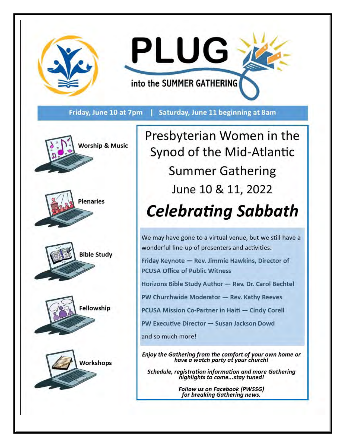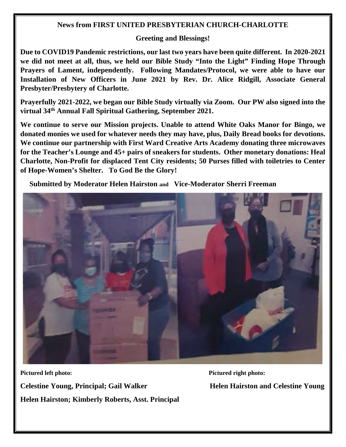#### **News from FIRST UNITED PRESBYTERIAN CHURCH-CHARLOTTE**

#### **Greeting and Blessings!**

**Due to COVID19 Pandemic restrictions, our last two years have been quite different. In 2020-2021 we did not meet at all, thus, we held our Bible Study "Into the Light" Finding Hope Through Prayers of Lament, independently. Following Mandates/Protocol, we were able to have our Installation of New Officers in June 2021 by Rev. Dr. Alice Ridgill, Associate General Presbyter/Presbytery of Charlotte.** 

**Prayerfully 2021-2022, we began our Bible Study virtually via Zoom. Our PW also signed into the virtual 34th Annual Fall Spiritual Gathering, September 2021.** 

**We continue to serve our Mission projects. Unable to attend White Oaks Manor for Bingo, we donated monies we used for whatever needs they may have, plus, Daily Bread books for devotions. We continue our partnership with First Ward Creative Arts Academy donating three microwaves for the Teacher's Lounge and 45+ pairs of sneakers for students. Other monetary donations: Heal Charlotte, Non-Profit for displaced Tent City residents; 50 Purses filled with toiletries to Center of Hope-Women's Shelter. To God Be the Glory!** 

 **Submitted by Moderator Helen Hairston and Vice-Moderator Sherri Freeman**



**Pictured left photo: Pictured right photo: Celestine Young, Principal; Gail Walker Helen Hairston and Celestine Young Helen Hairston; Kimberly Roberts, Asst. Principal**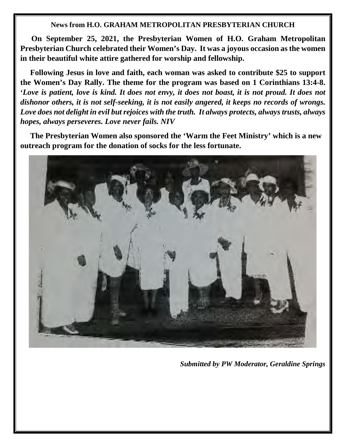#### **News from H.O. GRAHAM METROPOLITAN PRESBYTERIAN CHURCH**

 **On September 25, 2021, the Presbyterian Women of H.O. Graham Metropolitan Presbyterian Church celebrated their Women's Day. It was a joyous occasion as the women in their beautiful white attire gathered for worship and fellowship.** 

 **Following Jesus in love and faith, each woman was asked to contribute \$25 to support the Women's Day Rally. The theme for the program was based on 1 Corinthians 13:4-8. '***Love is patient, love is kind. It does not envy, it does not boast, it is not proud. It does not dishonor others, it is not self-seeking, it is not easily angered, it keeps no records of wrongs. Love does not delight in evil but rejoices with the truth. It always protects, always trusts, always hopes, always perseveres. Love never fails. NIV* 

 **The Presbyterian Women also sponsored the 'Warm the Feet Ministry' which is a new outreach program for the donation of socks for the less fortunate.** 



*Submitted by PW Moderator, Geraldine Springs*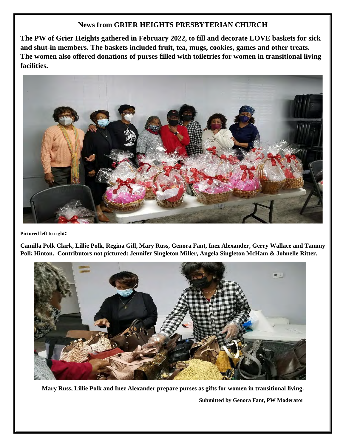#### **News from GRIER HEIGHTS PRESBYTERIAN CHURCH**

**The PW of Grier Heights gathered in February 2022, to fill and decorate LOVE baskets for sick and shut-in members. The baskets included fruit, tea, mugs, cookies, games and other treats. The women also offered donations of purses filled with toiletries for women in transitional living facilities.** 



**Pictured left to right:** 

**Camilla Polk Clark, Lillie Polk, Regina Gill, Mary Russ, Genora Fant, Inez Alexander, Gerry Wallace and Tammy Polk Hinton. Contributors not pictured: Jennifer Singleton Miller, Angela Singleton McHam & Johnelle Ritter.**



**Mary Russ, Lillie Polk and Inez Alexander prepare purses as gifts for women in transitional living. Submitted by Genora Fant, PW Moderator**